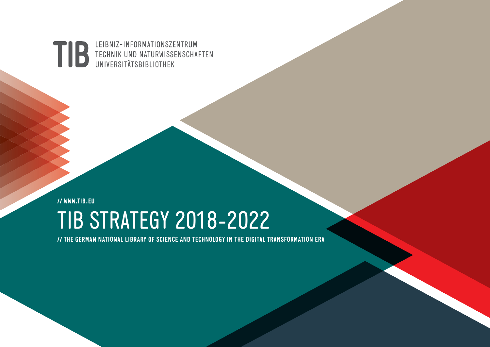LEIBNIZ-INFORMATIONSZENTRUM **TIB** TECHNIK UND NATURWISSENSCHAFTEN<br>UNIVERSITÄTSBIBLIOTHEK

**// WWW.TIB.EU** TIB STRATEGY 2018-2022

**// THE GERMAN NATIONAL LIBRARY OF SCIENCE AND TECHNOLOGY IN THE DIGITAL TRANSFORMATION ERA**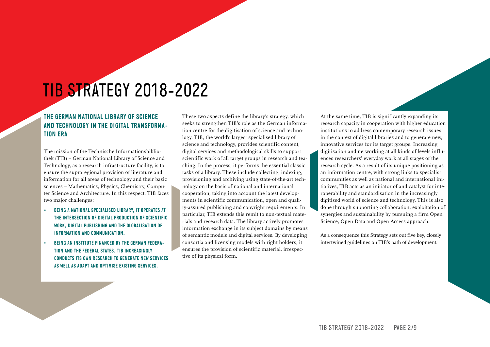## TIB STRATEGY 2018-2022

#### **THE GERMAN NATIONAL LIBRARY OF SCIENCE AND TECHNOLOGY IN THE DIGITAL TRANSFORMA-TION ERA**

The mission of the Technische Informationsbibliothek (TIB) – German National Library of Science and Technology, as a research infrastructure facility, is to ensure the supraregional provision of literature and information for all areas of technology and their basic sciences – Mathematics, Physics, Chemistry, Computer Science and Architecture. In this respect, TIB faces two major challenges:

- » **BEING A NATIONAL SPECIALISED LIBRARY, IT OPERATES AT THE INTERSECTION OF DIGITAL PRODUCTION OF SCIENTIFIC WORK, DIGITAL PUBLISHING AND THE GLOBALISATION OF INFORMATION AND COMMUNICATION.**
- **BEING AN INSTITUTE FINANCED BY THE GERMAN FEDERA-TION AND THE FEDERAL STATES, TIB INCREASINGLY CONDUCTS ITS OWN RESEARCH TO GENERATE NEW SERVICES AS WELL AS ADAPT AND OPTIMISE EXISTING SERVICES.**

These two aspects define the library's strategy, which seeks to strengthen TIB's role as the German information centre for the digitisation of science and technology. TIB, the world's largest specialised library of science and technology, provides scientific content, digital services and methodological skills to support scientific work of all target groups in research and teaching. In the process, it performs the essential classic tasks of a library. These include collecting, indexing, provisioning and archiving using state-of-the-art technology on the basis of national and international cooperation, taking into account the latest developments in scientific communication, open and quality-assured publishing and copyright requirements. In particular, TIB extends this remit to non-textual materials and research data. The library actively promotes information exchange in its subject domains by means of semantic models and digital services. By developing consortia and licensing models with right holders, it ensures the provision of scientific material, irrespective of its physical form.

At the same time, TIB is significantly expanding its research capacity in cooperation with higher education institutions to address contemporary research issues in the context of digital libraries and to generate new, innovative services for its target groups. Increasing digitisation and networking at all kinds of levels influences researchers' everyday work at all stages of the research cycle. As a result of its unique positioning as an information centre, with strong links to specialist communities as well as national and international initiatives, TIB acts as an initiator of and catalyst for interoperability and standardisation in the increasingly digitised world of science and technology. This is also done through supporting collaboration, exploitation of synergies and sustainability by pursuing a firm Open Science, Open Data and Open Access approach.

As a consequence this Strategy sets out five key, closely intertwined guidelines on TIB's path of development.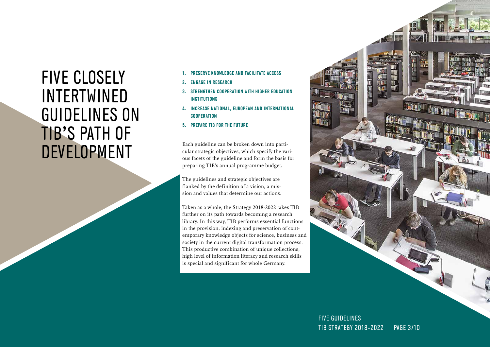### FIVE CLOSELY INTERTWINED GUIDELINES ON TIB'S PATH OF DEVELOPMENT

- **1. PRESERVE KNOWLEDGE AND FACILITATE ACCESS**
- **2. ENGAGE IN RESEARCH**
- **3. STRENGTHEN COOPERATION WITH HIGHER EDUCATION INSTITUTIONS**
- **4. INCREASE NATIONAL, EUROPEAN AND INTERNATIONAL COOPERATION**
- **5. PREPARE TIB FOR THE FUTURE**

Each guideline can be broken down into particular strategic objectives, which specify the various facets of the guideline and form the basis for preparing TIB's annual programme budget.

The guidelines and strategic objectives are flanked by the definition of a vision, a mission and values that determine our actions.

Taken as a whole, the Strategy 2018-2022 takes TIB further on its path towards becoming a research library. In this way, TIB performs essential functions in the provision, indexing and preservation of contemporary knowledge objects for science, business and society in the current digital transformation process. This productive combination of unique collections, high level of information literacy and research skills is special and significant for whole Germany.



TIB STRATEGY 2018-2022 PAGE 3/10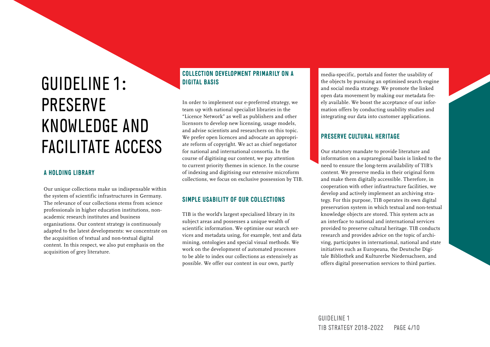# GUIDELINE 1: PRESERVE KNOWLEDGE AND FACILITATE ACCESS

#### **A HOLDING LIBRARY**

Our unique collections make us indispensable within the system of scientific infrastructures in Germany. The relevance of our collections stems from science professionals in higher education institutions, nonacademic research institutes and business organisations. Our content strategy is continuously adapted to the latest developments: we concentrate on the acquisition of textual and non-textual digital content. In this respect, we also put emphasis on the acquisition of grey literature.

#### **COLLECTION DEVELOPMENT PRIMARILY ON A DIGITAL BASIS**

In order to implement our e-preferred strategy, we team up with national specialist libraries in the "Licence Network" as well as publishers and other licensors to develop new licensing, usage models, and advise scientists and researchers on this topic. We prefer open licences and advocate an appropriate reform of copyright. We act as chief negotiator for national and international consortia. In the course of digitising our content, we pay attention to current priority themes in science. In the course of indexing and digitising our extensive microform collections, we focus on exclusive possession by TIB.

#### **SIMPLE USABILITY OF OUR COLLECTIONS**

TIB is the world's largest specialised library in its subject areas and possesses a unique wealth of scientific information. We optimise our search services and metadata using, for example, text and data mining, ontologies and special visual methods. We work on the development of automated processes to be able to index our collections as extensively as possible. We offer our content in our own, partly

media-specific, portals and foster the usability of the objects by pursuing an optimised search engine and social media strategy. We promote the linked open data movement by making our metadata freely available. We boost the acceptance of our information offers by conducting usability studies and integrating our data into customer applications.

#### **PRESERVE CULTURAL HERITAGE**

Our statutory mandate to provide literature and information on a supraregional basis is linked to the need to ensure the long-term availability of TIB's content. We preserve media in their original form and make them digitally accessible. Therefore, in cooperation with other infrastructure facilities, we develop and actively implement an archiving strategy. For this purpose, TIB operates its own digital preservation system in which textual and non-textual knowledge objects are stored. This system acts as an interface to national and international services provided to preserve cultural heritage. TIB conducts research and provides advice on the topic of archiving, participates in international, national and state initiatives such as Europeana, the Deutsche Digitale Bibliothek and Kulturerbe Niedersachsen, and offers digital preservation services to third parties.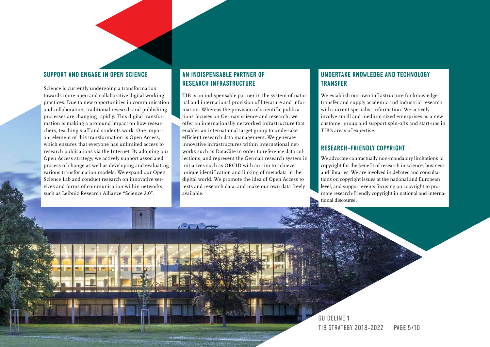#### **SUPPORT AND ENGAGE IN OPEN SCIENCE**

Science is currently undergoing a transformation towards more open and collaborative digital working practices. Due to new opportunities in communication and collaboration, traditional research and publishing processes are changing rapidly. This digital transformation is making a profound impact on how researchers, teaching staff and students work. One important element of this transformation is Open Access, which ensures that everyone has unlimited access to research publications via the Internet. By adopting our Open Access strategy, we actively support associated process of change as well as developing and evaluating various transformation models. We expand our Open Science Lab and conduct research on innovative services and forms of communication within networks such as Leibniz Research Alliance "Science 2.0".

#### **AN INDISPENSABLE PARTNER OF RESEARCH INFRASTRUCTURE**

TIB is an indispensable partner in the system of national and international provision of literature and information. Whereas the provision of scientific publications focuses on German science and research, we offer an internationally networked infrastructure that enables an international target group to undertake efficient research data management. We generate innovative infrastructures within international networks such as DataCite in order to reference data collections, and represent the German research system in initiatives such as ORCID with an aim to achieve unique identification and linking of metadata in the digital world. We promote the idea of Open Access to texts and research data, and make our own data freely available.

#### **UNDERTAKE KNOWLEDGE AND TECHNOLOGY TRANSFER**

We establish our own infrastructure for knowledge transfer and supply academic and industrial research with current specialist information. We actively involve small and medium-sized enterprises as a new customer group and support spin-offs and start-ups in TIB's areas of expertise.

#### **RESEARCH-FRIENDLY COPYRIGHT**

We advocate contractually non-mandatory limitations to copyright for the benefit of research in science, business and libraries. We are involved in debates and consultations on copyright issues at the national and European level, and support events focusing on copyright to promote research-friendly copyright in national and international discourse.

GUIDELINE 1 TIB STRATEGY 2018-2022 PAGE 5/10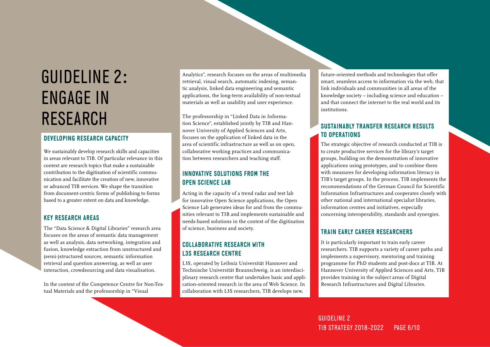## GUIDELINE 2: ENGAGE IN RESEARCH

#### **DEVELOPING RESEARCH CAPACITY**

We sustainably develop research skills and capacities in areas relevant to TIB. Of particular relevance in this context are research topics that make a sustainable contribution to the digitisation of scientific communication and facilitate the creation of new, innovative or advanced TIB services. We shape the transition from document-centric forms of publishing to forms based to a greater extent on data and knowledge.

#### **KEY RESEARCH AREAS**

The "Data Science & Digital Libraries" research area focuses on the areas of semantic data management as well as analysis, data networking, integration and fusion, knowledge extraction from unstructured and (semi-)structured sources, semantic information retrieval and question answering, as well as user interaction, crowdsourcing and data visualisation.

In the context of the Competence Centre for Non-Textual Materials and the professorship in "Visual

Analytics", research focuses on the areas of multimedia retrieval, visual search, automatic indexing, semantic analysis, linked data engineering and semantic applications, the long-term availability of non-textual materials as well as usability and user experience.

The professorship in "Linked Data in Information Science", established jointly by TIB and Hannover University of Applied Sciences and Arts, focuses on the application of linked data in the area of scientific infrastructure as well as on open, collaborative working practices and communication between researchers and teaching staff.

#### **INNOVATIVE SOLUTIONS FROM THE OPEN SCIENCE LAB**

Acting in the capacity of a trend radar and test lab for innovative Open Science applications, the Open Science Lab generates ideas for and from the communities relevant to TIB and implements sustainable and needs-based solutions in the context of the digitisation of science, business and society.

#### **COLLABORATIVE RESEARCH WITH L3S RESEARCH CENTRE**

L3S, operated by Leibniz Universität Hannover and Technische Universität Braunschweig, is an interdisciplinary research centre that undertakes basic and application-oriented research in the area of Web Science. In collaboration with L3S researchers, TIB develops new,

future-oriented methods and technologies that offer smart, seamless access to information via the web, that link individuals and communities in all areas of the knowledge society – including science and education – and that connect the internet to the real world and its institutions.

#### **SUSTAINABLY TRANSFER RESEARCH RESULTS TO OPERATIONS**

The strategic objective of research conducted at TIB is to create productive services for the library's target groups, building on the demonstration of innovative applications using prototypes, and to combine them with measures for developing information literacy in TIB's target groups. In the process, TIB implements the recommendations of the German Council for Scientific Information Infrastructures and cooperates closely with other national and international specialist libraries, information centres and initiatives, especially concerning interoperability, standards and synergies.

#### **TRAIN EARLY CAREER RESEARCHERS**

It is particularly important to train early career researchers. TIB supports a variety of career paths and implements a supervisory, mentoring and training programme for PhD students and post-docs at TIB. At Hannover University of Applied Sciences and Arts, TIB provides training in the subject areas of Digital Research Infrastructures and Digital Libraries.

GUIDELINE 2 TIB STRATEGY 2018-2022 PAGE 6/10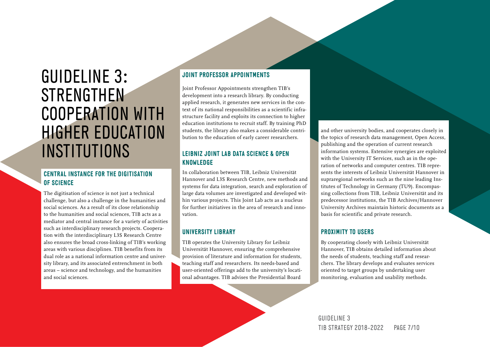### GUIDELINE 3: **STRENGTHEN** COOPERATION WITH HIGHER EDUCATION **INSTITUTIONS**

#### **CENTRAL INSTANCE FOR THE DIGITISATION OF SCIENCE**

The digitisation of science is not just a technical challenge, but also a challenge in the humanities and social sciences. As a result of its close relationship to the humanities and social sciences, TIB acts as a mediator and central instance for a variety of activities such as interdisciplinary research projects. Cooperation with the interdisciplinary L3S Research Centre also ensures the broad cross-linking of TIB's working areas with various disciplines. TIB benefits from its dual role as a national information centre and university library, and its associated entrenchment in both areas – science and technology, and the humanities and social sciences.

#### **JOINT PROFESSOR APPOINTMENTS**

Joint Professor Appointments strengthen TIB's development into a research library. By conducting applied research, it generates new services in the context of its national responsibilities as a scientific infrastructure facility and exploits its connection to higher education institutions to recruit staff. By training PhD students, the library also makes a considerable contribution to the education of early career researchers.

#### **LEIBNIZ JOINT LAB DATA SCIENCE & OPEN KNOWLEDGE**

In collaboration between TIB, Leibniz Universität Hannover and L3S Research Centre, new methods and systems for data integration, search and exploration of large data volumes are investigated and developed within various projects. This Joint Lab acts as a nucleus for further initiatives in the area of research and innovation.

#### **UNIVERSITY LIBRARY**

TIB operates the University Library for Leibniz Universität Hannover, ensuring the comprehensive provision of literature and information for students, teaching staff and researchers. Its needs-based and user-oriented offerings add to the university's locational advantages. TIB advises the Presidential Board

and other university bodies, and cooperates closely in the topics of research data management, Open Access, publishing and the operation of current research information systems. Extensive synergies are exploited with the University IT Services, such as in the operation of networks and computer centres. TIB represents the interests of Leibniz Universität Hannover in supraregional networks such as the nine leading Institutes of Technology in Germany (TU9). Encompassing collections from TIB, Leibniz Universität and its predecessor institutions, the TIB Archives/Hannover University Archives maintain historic documents as a basis for scientific and private research.

#### **PROXIMITY TO USERS**

By cooperating closely with Leibniz Universität Hannover, TIB obtains detailed information about the needs of students, teaching staff and researchers. The library develops and evaluates services oriented to target groups by undertaking user monitoring, evaluation and usability methods.

GUIDELINE 3 TIB STRATEGY 2018-2022 PAGE 7/10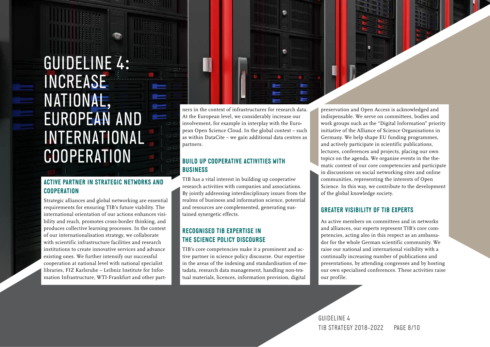### GUIDELINE 4: INCREASE NATIONAL, a a EUROPEAN AND INTERNATIONAL **COOPERATION**

#### **ACTIVE PARTNER IN STRATEGIC NETWORKS AND COOPERATION**

Strategic alliances and global networking are essential requirements for ensuring TIB's future viability. The international orientation of our actions enhances visibility and reach, promotes cross-border thinking, and produces collective learning processes. In the context of our internationalisation strategy, we collaborate with scientific infrastructure facilities and research institutions to create innovative services and advance existing ones. We further intensify our successful cooperation at national level with national specialist libraries, FIZ Karlsruhe – Leibniz Institute for Information Infrastructure, WTI-Frankfurt and other part-

ners in the context of infrastructures for research data. At the European level, we considerably increase our involvement, for example in interplay with the European Open Science Cloud. In the global context – such as within DataCite – we gain additional data centres as partners.

e e

#### **BUILD UP COOPERATIVE ACTIVITIES WITH BUSINESS**

TIB has a vital interest in building up cooperative research activities with companies and associations. By jointly addressing interdisciplinary issues from the realms of business and information science, potential and resources are complemented, generating sustained synergetic effects.

#### **RECOGNISED TIB EXPERTISE IN THE SCIENCE POLICY DISCOURSE**

TIB's core competencies make it a prominent and active partner in science policy discourse. Our expertise in the areas of the indexing and standardisation of metadata, research data management, handling non-textual materials, licences, information provision, digital

preservation and Open Access is acknowledged and indispensable. We serve on committees, bodies and work groups such as the "Digital Information" priority initiative of the Alliance of Science Organisations in Germany. We help shape EU funding programmes, and actively participate in scientific publications, lectures, conferences and projects, placing our own topics on the agenda. We organise events in the thematic context of our core competencies and participate in discussions on social networking sites and online communities, representing the interests of Open Science. In this way, we contribute to the development of the global knowledge society.

#### **GREATER VISIBILITY OF TIB EXPERTS**

As active members on committees and in networks and alliances, our experts represent TIB's core competencies, acting also in this respect as an ambassador for the whole German scientific community. We raise our national and international visibility with a continually increasing number of publications and presentations, by attending congresses and by hosting our own specialised conferences. These activities raise our profile.

GUIDELINE 4 TIB STRATEGY 2018-2022 PAGE 8/10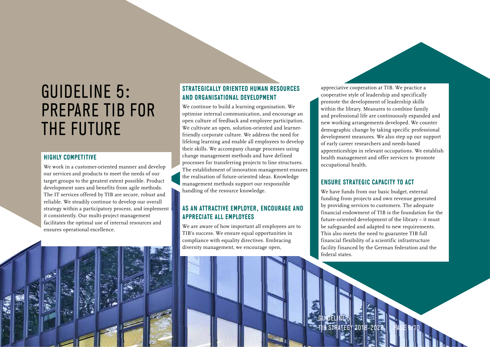## GUIDELINE 5: PREPARE TIB FOR THE FUTURE

#### **HIGHLY COMPETITIVE**

We work in a customer-oriented manner and develop our services and products to meet the needs of our target groups to the greatest extent possible. Product development uses and benefits from agile methods. The IT services offered by TIB are secure, robust and reliable. We steadily continue to develop our overall strategy within a participatory process, and implement it consistently. Our multi-project management facilitates the optimal use of internal resources and ensures operational excellence.

#### **STRATEGICALLY ORIENTED HUMAN RESOURCES AND ORGANISATIONAL DEVELOPMENT**

We continue to build a learning organisation. We optimise internal communication, and encourage an open culture of feedback and employee participation. We cultivate an open, solution-oriented and learnerfriendly corporate culture. We address the need for lifelong learning and enable all employees to develop their skills. We accompany change processes using change management methods and have defined processes for transferring projects to line structures. The establishment of innovation management ensures the realisation of future-oriented ideas. Knowledge management methods support our responsible handling of the resource knowledge.

#### **AS AN ATTRACTIVE EMPLOYER, ENCOURAGE AND APPRECIATE ALL EMPLOYEES**

We are aware of how important all employees are to TIB's success. We ensure equal opportunities in compliance with equality directives. Embracing diversity management, we encourage open,

appreciative cooperation at TIB. We practice a cooperative style of leadership and specifically promote the development of leadership skills within the library. Measures to combine family and professional life are continuously expanded and new working arrangements developed. We counter demographic change by taking specific professional development measures. We also step up our support of early career researchers and needs-based apprenticeships in relevant occupations. We establish health management and offer services to promote occupational health.

#### **ENSURE STRATEGIC CAPACITY TO ACT**

We have funds from our basic budget, external funding from projects and own revenue generated by providing services to customers. The adequate financial endowment of TIB is the foundation for the future-oriented development of the library – it must be safeguarded and adapted to new requirements. This also meets the need to guarantee TIB full financial flexibility of a scientific infrastructure facility financed by the German federation and the federal states.

**PAGE 9/10** 

GUIDELINE 5 **B STRATEGY 201**